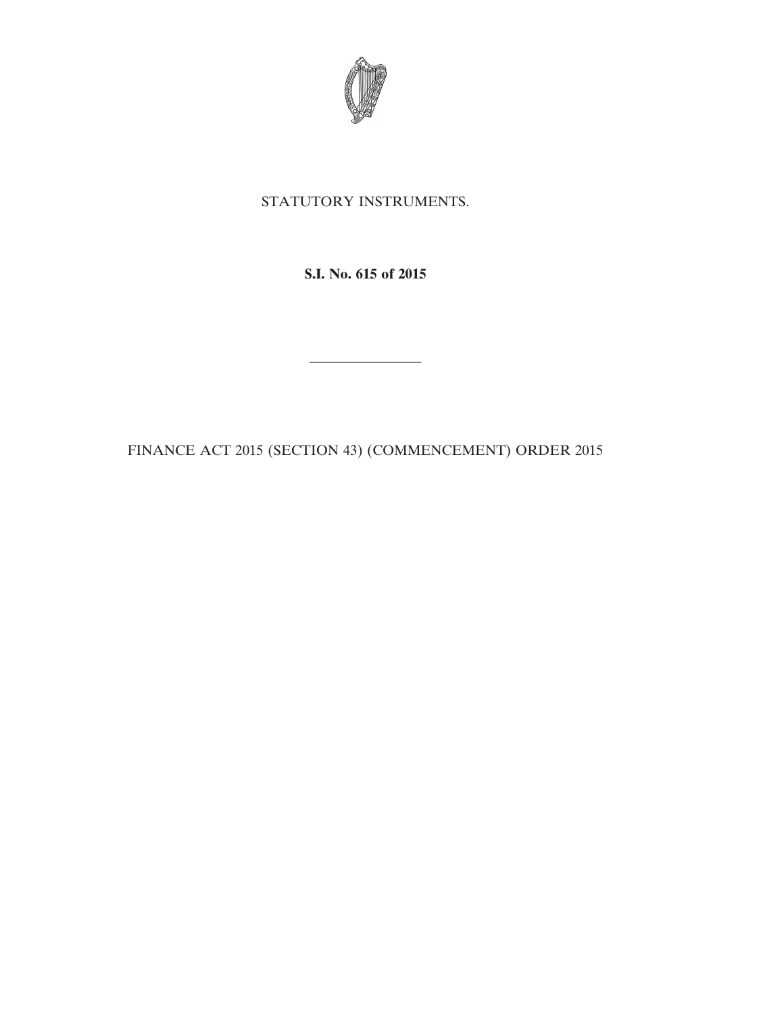

## STATUTORY INSTRUMENTS.

**S.I. No. 615 of 2015**

FINANCE ACT 2015 (SECTION 43) (COMMENCEMENT) ORDER 2015

————————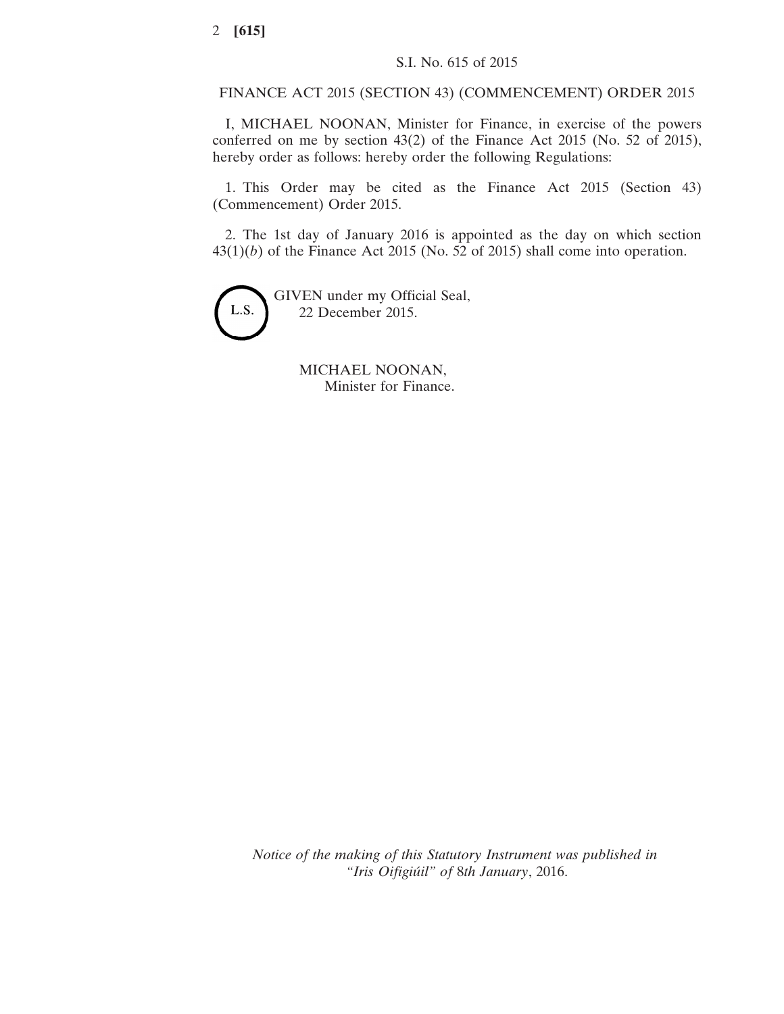## FINANCE ACT 2015 (SECTION 43) (COMMENCEMENT) ORDER 2015

I, MICHAEL NOONAN, Minister for Finance, in exercise of the powers conferred on me by section 43(2) of the Finance Act 2015 (No. 52 of 2015), hereby order as follows: hereby order the following Regulations:

1. This Order may be cited as the Finance Act 2015 (Section 43) (Commencement) Order 2015.

2. The 1st day of January 2016 is appointed as the day on which section 43(1)(*b*) of the Finance Act 2015 (No. 52 of 2015) shall come into operation.



GIVEN under my Official Seal, 22 December 2015.

> MICHAEL NOONAN, Minister for Finance.

*Notice of the making of this Statutory Instrument was published in "Iris Oifigiúil" of* 8*th January*, 2016.